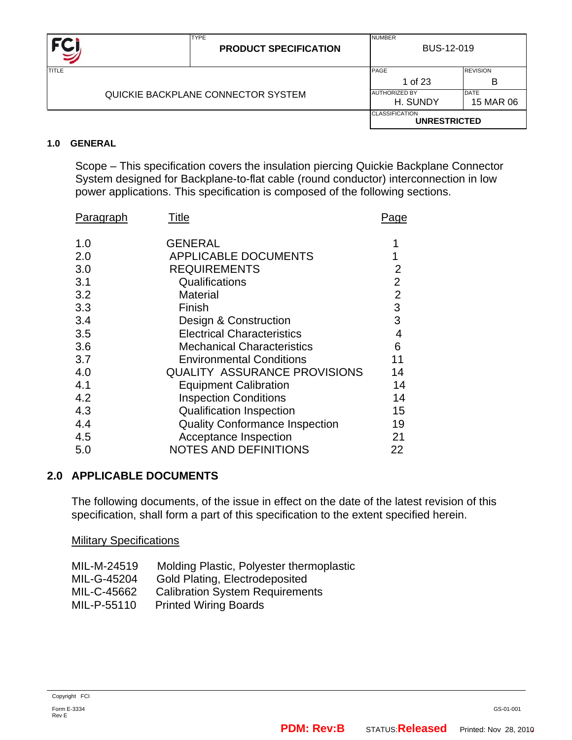

#### **1.0 GENERAL**

 Scope – This specification covers the insulation piercing Quickie Backplane Connector System designed for Backplane-to-flat cable (round conductor) interconnection in low power applications. This specification is composed of the following sections.

| Paragraph | Title                                 | Page           |
|-----------|---------------------------------------|----------------|
| 1.0       | <b>GENERAL</b>                        |                |
| 2.0       | <b>APPLICABLE DOCUMENTS</b>           |                |
| 3.0       | <b>REQUIREMENTS</b>                   | 2              |
| 3.1       | Qualifications                        | $\overline{2}$ |
| 3.2       | <b>Material</b>                       | $\overline{2}$ |
| 3.3       | Finish                                | 3              |
| 3.4       | Design & Construction                 | 3              |
| 3.5       | <b>Electrical Characteristics</b>     | 4              |
| 3.6       | <b>Mechanical Characteristics</b>     | 6              |
| 3.7       | <b>Environmental Conditions</b>       | 11             |
| 4.0       | <b>QUALITY ASSURANCE PROVISIONS</b>   | 14             |
| 4.1       | <b>Equipment Calibration</b>          | 14             |
| 4.2       | <b>Inspection Conditions</b>          | 14             |
| 4.3       | <b>Qualification Inspection</b>       | 15             |
| 4.4       | <b>Quality Conformance Inspection</b> | 19             |
| 4.5       | Acceptance Inspection                 | 21             |
| 5.0       | <b>NOTES AND DEFINITIONS</b>          | 22             |

#### **2.0 APPLICABLE DOCUMENTS**

The following documents, of the issue in effect on the date of the latest revision of this specification, shall form a part of this specification to the extent specified herein.

**Military Specifications** 

| MIL-M-24519 | Molding Plastic, Polyester thermoplastic |
|-------------|------------------------------------------|
| MIL-G-45204 | Gold Plating, Electrodeposited           |
| MIL-C-45662 | <b>Calibration System Requirements</b>   |
| MIL-P-55110 | <b>Printed Wiring Boards</b>             |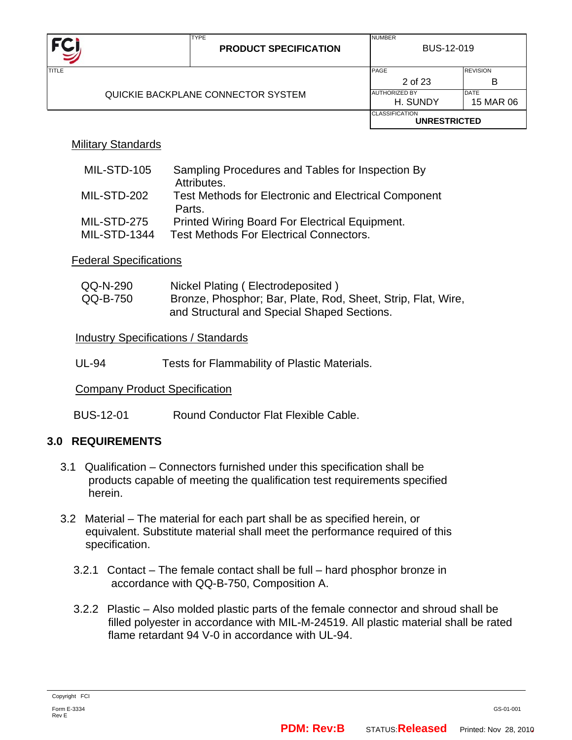

TYPE

NUMBER

| TITLE |                                    | PAGE                                         | <b>REVISION</b>          |
|-------|------------------------------------|----------------------------------------------|--------------------------|
|       |                                    | 2 of 23                                      | B                        |
|       | QUICKIE BACKPLANE CONNECTOR SYSTEM | <b>AUTHORIZED BY</b><br>H. SUNDY             | <b>DATE</b><br>15 MAR 06 |
|       |                                    | <b>CLASSIFICATION</b><br><b>UNRESTRICTED</b> |                          |

#### Military Standards

| MIL-STD-105         | Sampling Procedures and Tables for Inspection By                           |
|---------------------|----------------------------------------------------------------------------|
| MIL-STD-202         | Attributes.<br><b>Test Methods for Electronic and Electrical Component</b> |
|                     | Parts.                                                                     |
| MIL-STD-275         | Printed Wiring Board For Electrical Equipment.                             |
| <b>MIL-STD-1344</b> | <b>Test Methods For Electrical Connectors.</b>                             |

#### Federal Specifications

| QQ-N-290 | Nickel Plating (Electrodeposited)                            |
|----------|--------------------------------------------------------------|
| QQ-B-750 | Bronze, Phosphor; Bar, Plate, Rod, Sheet, Strip, Flat, Wire, |
|          | and Structural and Special Shaped Sections.                  |

#### **Industry Specifications / Standards**

UL-94 Tests for Flammability of Plastic Materials.

#### Company Product Specification

BUS-12-01 Round Conductor Flat Flexible Cable.

#### **3.0 REQUIREMENTS**

- 3.1 Qualification Connectors furnished under this specification shall be products capable of meeting the qualification test requirements specified herein.
- 3.2 Material The material for each part shall be as specified herein, or equivalent. Substitute material shall meet the performance required of this specification.
	- 3.2.1 Contact The female contact shall be full hard phosphor bronze in accordance with QQ-B-750, Composition A.
	- 3.2.2 Plastic Also molded plastic parts of the female connector and shroud shall be filled polyester in accordance with MIL-M-24519. All plastic material shall be rated flame retardant 94 V-0 in accordance with UL-94.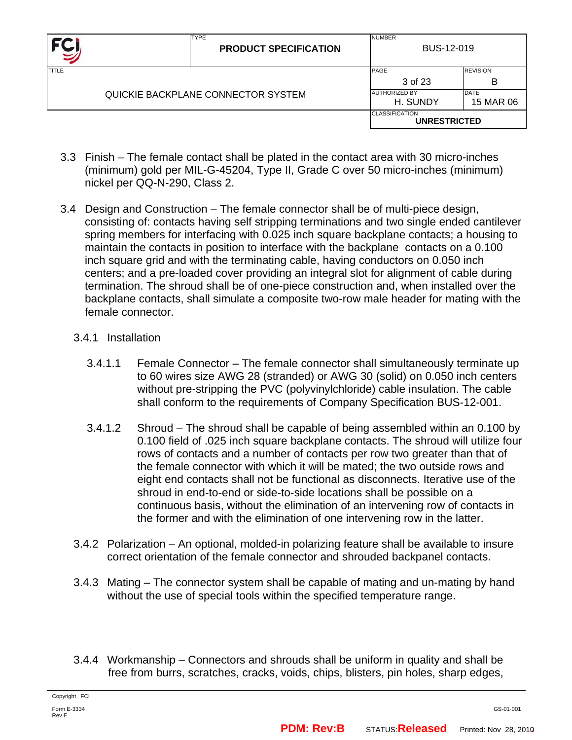|              | <b>TYPE</b><br><b>PRODUCT SPECIFICATION</b> | <b>NUMBER</b>                    | BUS-12-019               |
|--------------|---------------------------------------------|----------------------------------|--------------------------|
| <b>TITLE</b> |                                             | PAGE<br>3 of 23                  | <b>REVISION</b><br>в     |
|              | QUICKIE BACKPLANE CONNECTOR SYSTEM          | <b>AUTHORIZED BY</b><br>H. SUNDY | <b>DATE</b><br>15 MAR 06 |
|              |                                             | <b>CLASSIFICATION</b>            | <b>UNRESTRICTED</b>      |

- 3.3 Finish The female contact shall be plated in the contact area with 30 micro-inches (minimum) gold per MIL-G-45204, Type II, Grade C over 50 micro-inches (minimum) nickel per QQ-N-290, Class 2.
- 3.4 Design and Construction The female connector shall be of multi-piece design, consisting of: contacts having self stripping terminations and two single ended cantilever spring members for interfacing with 0.025 inch square backplane contacts; a housing to maintain the contacts in position to interface with the backplane contacts on a 0.100 inch square grid and with the terminating cable, having conductors on 0.050 inch centers; and a pre-loaded cover providing an integral slot for alignment of cable during termination. The shroud shall be of one-piece construction and, when installed over the backplane contacts, shall simulate a composite two-row male header for mating with the female connector.

#### 3.4.1 Installation

- 3.4.1.1 Female Connector The female connector shall simultaneously terminate up to 60 wires size AWG 28 (stranded) or AWG 30 (solid) on 0.050 inch centers without pre-stripping the PVC (polyvinylchloride) cable insulation. The cable shall conform to the requirements of Company Specification BUS-12-001.
- 3.4.1.2 Shroud The shroud shall be capable of being assembled within an 0.100 by 0.100 field of .025 inch square backplane contacts. The shroud will utilize four rows of contacts and a number of contacts per row two greater than that of the female connector with which it will be mated; the two outside rows and eight end contacts shall not be functional as disconnects. Iterative use of the shroud in end-to-end or side-to-side locations shall be possible on a continuous basis, without the elimination of an intervening row of contacts in the former and with the elimination of one intervening row in the latter.
- 3.4.2 Polarization An optional, molded-in polarizing feature shall be available to insure correct orientation of the female connector and shrouded backpanel contacts.
- 3.4.3 Mating The connector system shall be capable of mating and un-mating by hand without the use of special tools within the specified temperature range.
- 3.4.4 Workmanship Connectors and shrouds shall be uniform in quality and shall be free from burrs, scratches, cracks, voids, chips, blisters, pin holes, sharp edges,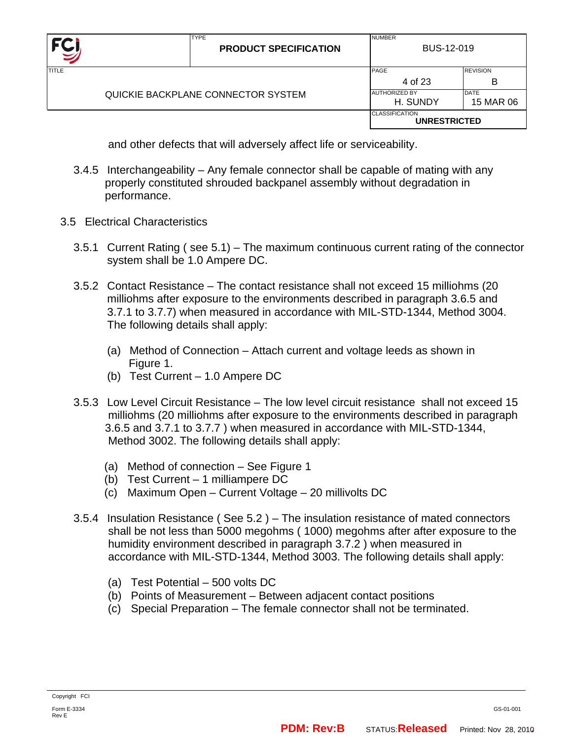|       | <b>TYPE</b><br><b>PRODUCT SPECIFICATION</b> | <b>NUMBER</b><br>BUS-12-019                  |                      |
|-------|---------------------------------------------|----------------------------------------------|----------------------|
| TITLE |                                             | PAGE<br>4 of 23                              | <b>REVISION</b><br>В |
|       | QUICKIE BACKPLANE CONNECTOR SYSTEM          | <b>AUTHORIZED BY</b><br>H. SUNDY             | DATE<br>15 MAR 06    |
|       |                                             | <b>CLASSIFICATION</b><br><b>UNRESTRICTED</b> |                      |

and other defects that will adversely affect life or serviceability.

- 3.4.5 Interchangeability Any female connector shall be capable of mating with any properly constituted shrouded backpanel assembly without degradation in performance.
- 3.5 Electrical Characteristics
	- 3.5.1 Current Rating ( see 5.1) The maximum continuous current rating of the connector system shall be 1.0 Ampere DC.
	- 3.5.2 Contact Resistance The contact resistance shall not exceed 15 milliohms (20 milliohms after exposure to the environments described in paragraph 3.6.5 and 3.7.1 to 3.7.7) when measured in accordance with MIL-STD-1344, Method 3004. The following details shall apply:
		- (a) Method of Connection Attach current and voltage leeds as shown in Figure 1.
		- (b) Test Current 1.0 Ampere DC
	- 3.5.3 Low Level Circuit Resistance The low level circuit resistance shall not exceed 15 milliohms (20 milliohms after exposure to the environments described in paragraph 3.6.5 and 3.7.1 to 3.7.7 ) when measured in accordance with MIL-STD-1344, Method 3002. The following details shall apply:
		- (a) Method of connection See Figure 1
		- (b) Test Current 1 milliampere DC
		- (c) Maximum Open Current Voltage 20 millivolts DC
	- 3.5.4 Insulation Resistance ( See 5.2 ) The insulation resistance of mated connectors shall be not less than 5000 megohms ( 1000) megohms after after exposure to the humidity environment described in paragraph 3.7.2 ) when measured in accordance with MIL-STD-1344, Method 3003. The following details shall apply:
		- (a) Test Potential 500 volts DC
		- (b) Points of Measurement Between adjacent contact positions
		- (c) Special Preparation The female connector shall not be terminated.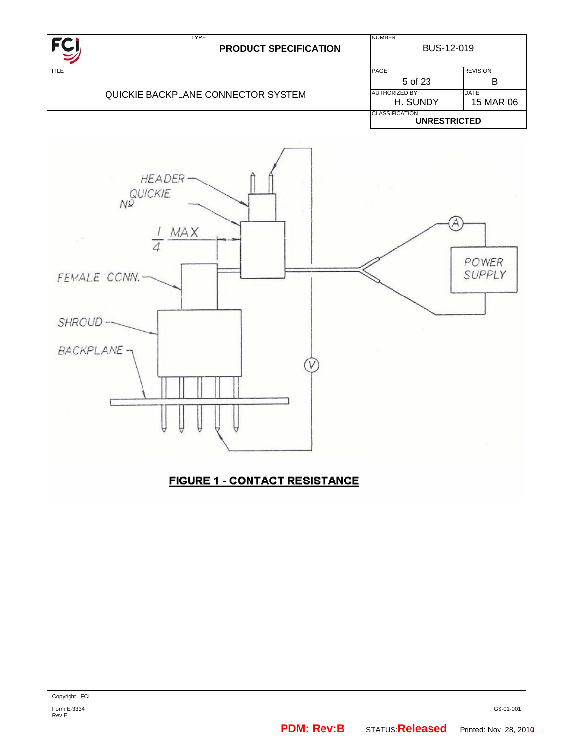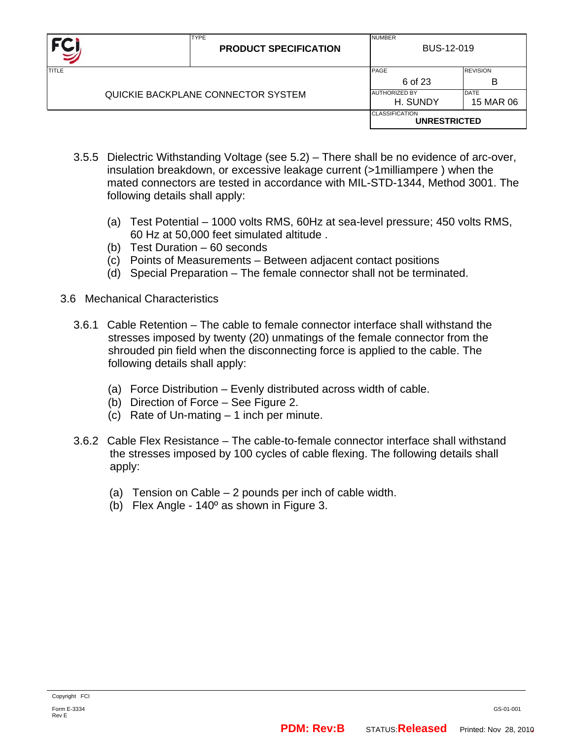|       | <b>TYPE</b><br><b>PRODUCT SPECIFICATION</b> | <b>NUMBER</b><br>BUS-12-019                  |                          |
|-------|---------------------------------------------|----------------------------------------------|--------------------------|
| TITLE |                                             | PAGE<br>6 of 23                              | <b>REVISION</b><br>в     |
|       | QUICKIE BACKPLANE CONNECTOR SYSTEM          | <b>AUTHORIZED BY</b><br>H. SUNDY             | <b>DATE</b><br>15 MAR 06 |
|       |                                             | <b>CLASSIFICATION</b><br><b>UNRESTRICTED</b> |                          |

- 3.5.5 Dielectric Withstanding Voltage (see 5.2) There shall be no evidence of arc-over, insulation breakdown, or excessive leakage current (>1milliampere ) when the mated connectors are tested in accordance with MIL-STD-1344, Method 3001. The following details shall apply:
	- (a) Test Potential 1000 volts RMS, 60Hz at sea-level pressure; 450 volts RMS, 60 Hz at 50,000 feet simulated altitude .
	- (b) Test Duration 60 seconds
	- (c) Points of Measurements Between adjacent contact positions
	- (d) Special Preparation The female connector shall not be terminated.
- 3.6 Mechanical Characteristics
	- 3.6.1 Cable Retention The cable to female connector interface shall withstand the stresses imposed by twenty (20) unmatings of the female connector from the shrouded pin field when the disconnecting force is applied to the cable. The following details shall apply:
		- (a) Force Distribution Evenly distributed across width of cable.
		- (b) Direction of Force See Figure 2.
		- (c) Rate of Un-mating 1 inch per minute.
	- 3.6.2 Cable Flex Resistance The cable-to-female connector interface shall withstand the stresses imposed by 100 cycles of cable flexing. The following details shall apply:
		- (a) Tension on Cable 2 pounds per inch of cable width.
		- (b) Flex Angle 140º as shown in Figure 3.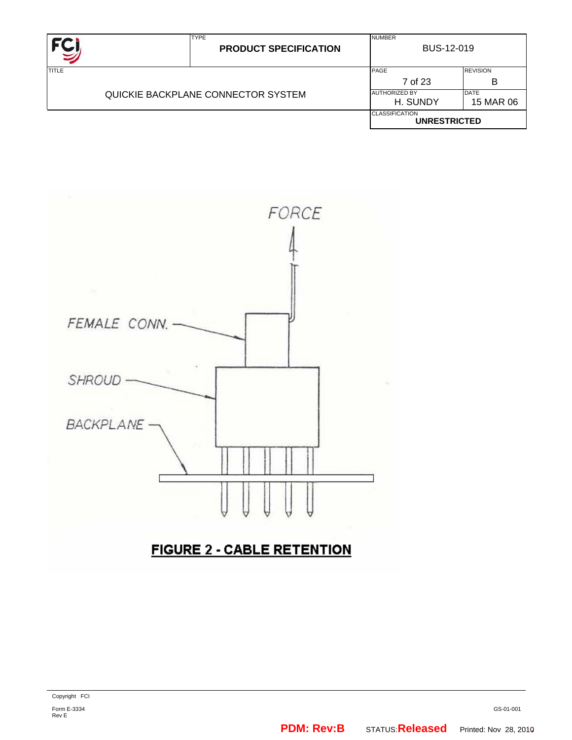|              | <b>TYPE</b><br><b>PRODUCT SPECIFICATION</b> | <b>NUMBER</b><br>BUS-12-019                  |                      |
|--------------|---------------------------------------------|----------------------------------------------|----------------------|
| <b>TITLE</b> |                                             | PAGE<br>7 of 23                              | <b>REVISION</b><br>В |
|              | QUICKIE BACKPLANE CONNECTOR SYSTEM          | <b>AUTHORIZED BY</b><br>H. SUNDY             | DATE<br>15 MAR 06    |
|              |                                             | <b>CLASSIFICATION</b><br><b>UNRESTRICTED</b> |                      |

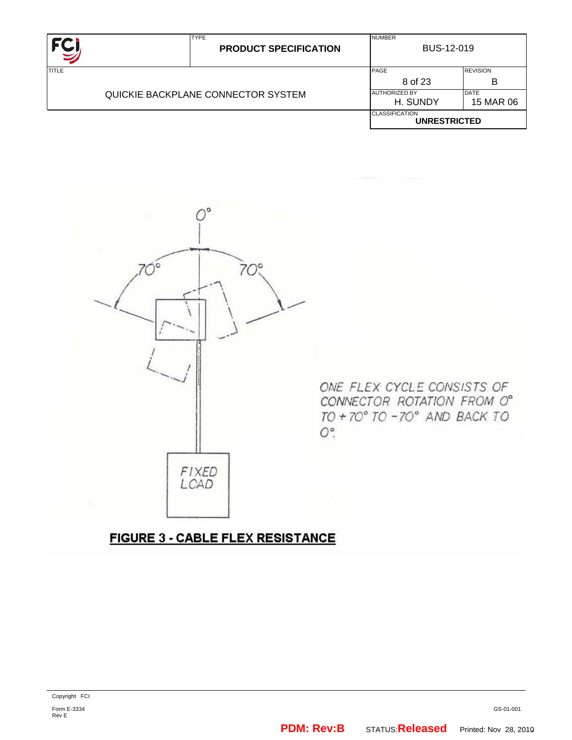|              | <b>TYPE</b><br><b>PRODUCT SPECIFICATION</b> | <b>NUMBER</b><br>BUS-12-019                  |                          |
|--------------|---------------------------------------------|----------------------------------------------|--------------------------|
| <b>TITLE</b> |                                             | PAGE<br>8 of 23                              | <b>REVISION</b><br>В     |
|              | QUICKIE BACKPLANE CONNECTOR SYSTEM          | <b>AUTHORIZED BY</b><br>H. SUNDY             | <b>DATE</b><br>15 MAR 06 |
|              |                                             | <b>CLASSIFICATION</b><br><b>UNRESTRICTED</b> |                          |



ONE FLEX CYCLE CONSISTS OF CONNECTOR ROTATION FROM O° TO + 70° TO -70° AND BACK TO  $O^{\circ}$ .

# **FIGURE 3 - CABLE FLEX RESISTANCE**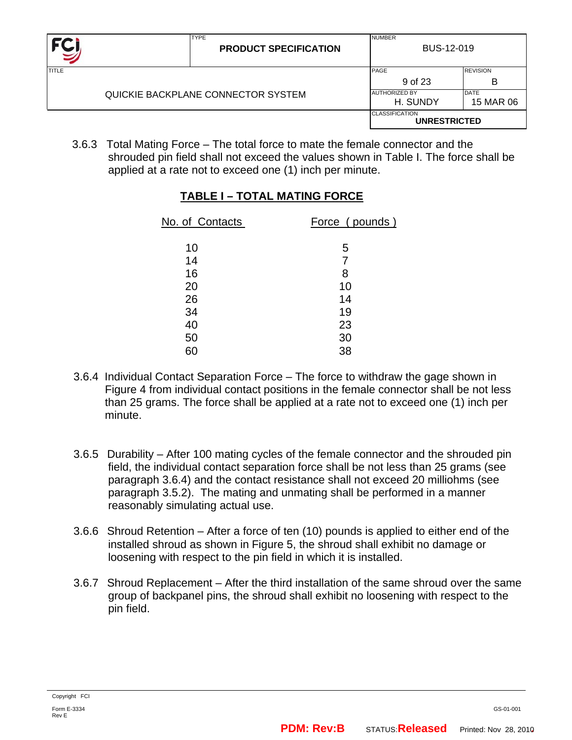|              | <b>TYPE</b><br><b>PRODUCT SPECIFICATION</b> | <b>NUMBER</b><br>BUS-12-019                  |                          |
|--------------|---------------------------------------------|----------------------------------------------|--------------------------|
| <b>TITLE</b> |                                             | PAGE<br>9 of 23                              | <b>REVISION</b><br>в     |
|              | QUICKIE BACKPLANE CONNECTOR SYSTEM          | <b>AUTHORIZED BY</b><br>H. SUNDY             | <b>DATE</b><br>15 MAR 06 |
|              |                                             | <b>CLASSIFICATION</b><br><b>UNRESTRICTED</b> |                          |

 3.6.3 Total Mating Force – The total force to mate the female connector and the shrouded pin field shall not exceed the values shown in Table I. The force shall be applied at a rate not to exceed one (1) inch per minute.

| No. of Contacts | Force (pounds) |
|-----------------|----------------|
| 10              | 5              |
| 14              | 7              |
| 16              | 8              |
| 20              | 10             |
| 26              | 14             |
| 34              | 19             |
| 40              | 23             |
| 50              | 30             |
| 60              | 38             |

#### **TABLE I – TOTAL MATING FORCE**

- 3.6.4 Individual Contact Separation Force The force to withdraw the gage shown in Figure 4 from individual contact positions in the female connector shall be not less than 25 grams. The force shall be applied at a rate not to exceed one (1) inch per minute.
- 3.6.5 Durability After 100 mating cycles of the female connector and the shrouded pin field, the individual contact separation force shall be not less than 25 grams (see paragraph 3.6.4) and the contact resistance shall not exceed 20 milliohms (see paragraph 3.5.2). The mating and unmating shall be performed in a manner reasonably simulating actual use.
- 3.6.6 Shroud Retention After a force of ten (10) pounds is applied to either end of the installed shroud as shown in Figure 5, the shroud shall exhibit no damage or loosening with respect to the pin field in which it is installed.
- 3.6.7 Shroud Replacement After the third installation of the same shroud over the same group of backpanel pins, the shroud shall exhibit no loosening with respect to the pin field.

Rev E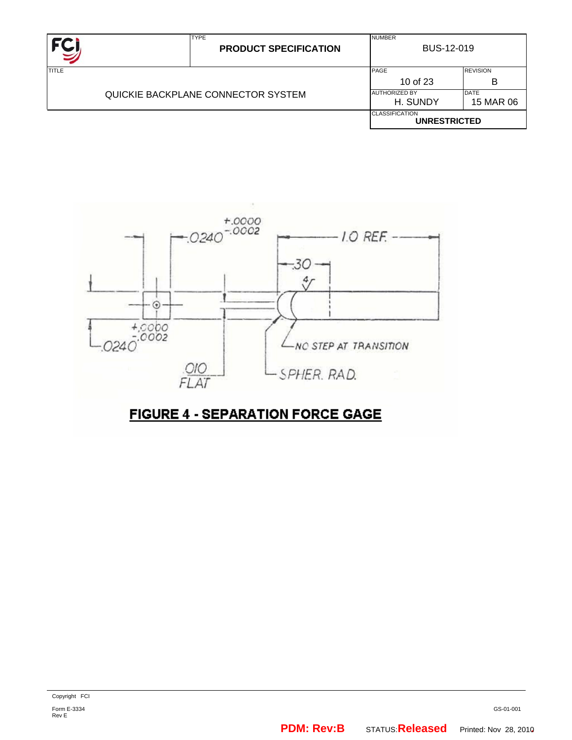| FC,          | <b>TYPE</b><br><b>PRODUCT SPECIFICATION</b> | <b>NUMBER</b><br>BUS-12-019                  |  |  |  |
|--------------|---------------------------------------------|----------------------------------------------|--|--|--|
| <b>TITLE</b> | PAGE<br>10 of 23                            | <b>REVISION</b><br>в                         |  |  |  |
|              | QUICKIE BACKPLANE CONNECTOR SYSTEM          |                                              |  |  |  |
|              |                                             | <b>CLASSIFICATION</b><br><b>UNRESTRICTED</b> |  |  |  |

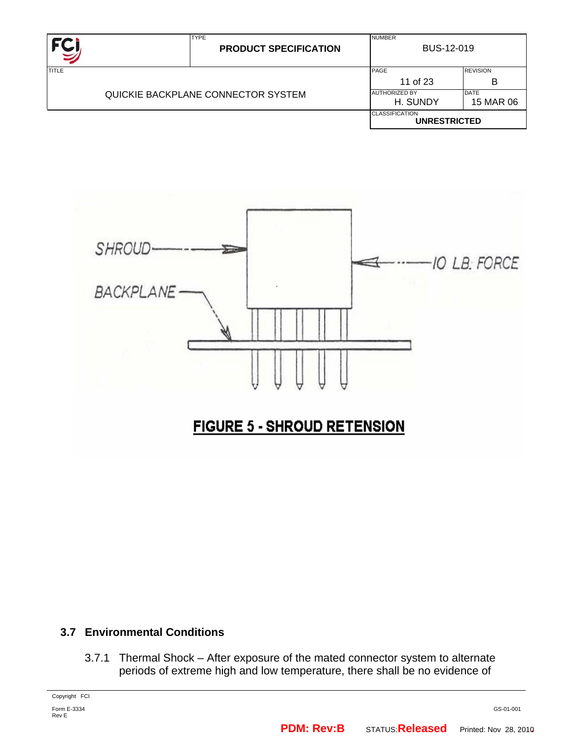|                                    | <b>TYPE</b><br><b>PRODUCT SPECIFICATION</b> | <b>NUMBER</b><br>BUS-12-019                  |  |  |  |
|------------------------------------|---------------------------------------------|----------------------------------------------|--|--|--|
| TITLE                              | PAGE<br>11 of 23                            | <b>REVISION</b><br>в                         |  |  |  |
| QUICKIE BACKPLANE CONNECTOR SYSTEM | <b>AUTHORIZED BY</b><br>H. SUNDY            | <b>DATE</b><br>15 MAR 06                     |  |  |  |
|                                    |                                             | <b>CLASSIFICATION</b><br><b>UNRESTRICTED</b> |  |  |  |



#### **3.7 Environmental Conditions**

3.7.1 Thermal Shock – After exposure of the mated connector system to alternate periods of extreme high and low temperature, there shall be no evidence of

Copyright FCI

Form E-3334 Rev E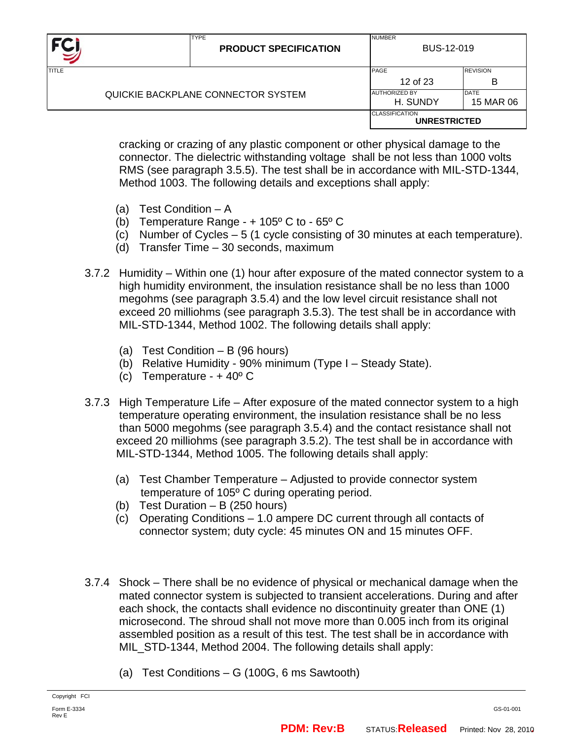| <b>FC</b>                          |  | <b>TYPE</b><br><b>PRODUCT SPECIFICATION</b> | <b>NUMBER</b><br>BUS-12-019                  |                          |  |  |
|------------------------------------|--|---------------------------------------------|----------------------------------------------|--------------------------|--|--|
| <b>TITLE</b>                       |  |                                             | <b>PAGE</b><br>12 of 23                      | <b>REVISION</b><br>в     |  |  |
| QUICKIE BACKPLANE CONNECTOR SYSTEM |  |                                             | <b>AUTHORIZED BY</b><br>H. SUNDY             | <b>DATE</b><br>15 MAR 06 |  |  |
|                                    |  |                                             | <b>CLASSIFICATION</b><br><b>UNRESTRICTED</b> |                          |  |  |

cracking or crazing of any plastic component or other physical damage to the connector. The dielectric withstanding voltage shall be not less than 1000 volts RMS (see paragraph 3.5.5). The test shall be in accordance with MIL-STD-1344, Method 1003. The following details and exceptions shall apply:

- (a) Test Condition A
- (b) Temperature Range  $+105^{\circ}$  C to 65 $^{\circ}$  C
- (c) Number of Cycles 5 (1 cycle consisting of 30 minutes at each temperature).
- (d) Transfer Time 30 seconds, maximum
- 3.7.2 Humidity Within one (1) hour after exposure of the mated connector system to a high humidity environment, the insulation resistance shall be no less than 1000 megohms (see paragraph 3.5.4) and the low level circuit resistance shall not exceed 20 milliohms (see paragraph 3.5.3). The test shall be in accordance with MIL-STD-1344, Method 1002. The following details shall apply:
	- (a) Test Condition B (96 hours)
	- (b) Relative Humidity 90% minimum (Type I Steady State).
	- (c) Temperature + 40º C
- 3.7.3 High Temperature Life After exposure of the mated connector system to a high temperature operating environment, the insulation resistance shall be no less than 5000 megohms (see paragraph 3.5.4) and the contact resistance shall not exceed 20 milliohms (see paragraph 3.5.2). The test shall be in accordance with MIL-STD-1344, Method 1005. The following details shall apply:
	- (a) Test Chamber Temperature Adjusted to provide connector system temperature of 105º C during operating period.
	- (b) Test Duration B (250 hours)
	- (c) Operating Conditions 1.0 ampere DC current through all contacts of connector system; duty cycle: 45 minutes ON and 15 minutes OFF.
- 3.7.4 Shock There shall be no evidence of physical or mechanical damage when the mated connector system is subjected to transient accelerations. During and after each shock, the contacts shall evidence no discontinuity greater than ONE (1) microsecond. The shroud shall not move more than 0.005 inch from its original assembled position as a result of this test. The test shall be in accordance with MIL\_STD-1344, Method 2004. The following details shall apply:
	- (a) Test Conditions G (100G, 6 ms Sawtooth)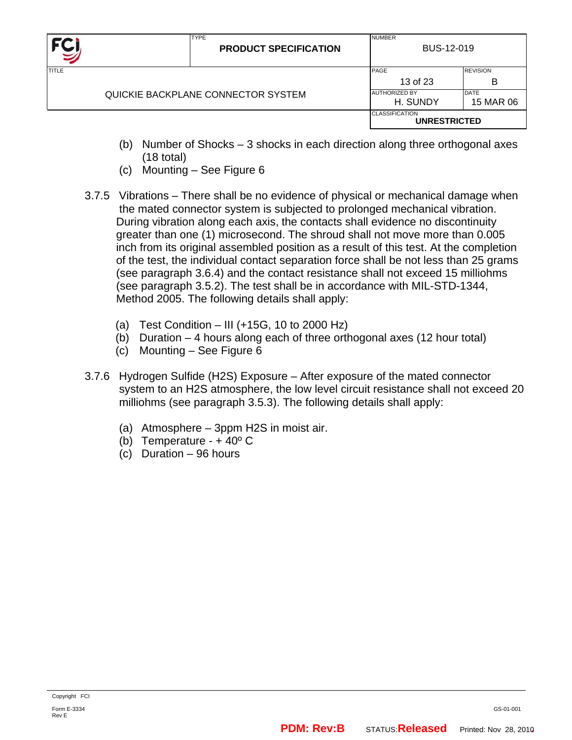| FC)                                |  | <b>TYPE</b><br><b>PRODUCT SPECIFICATION</b> | <b>NUMBER</b><br>BUS-12-019                  |                      |  |  |
|------------------------------------|--|---------------------------------------------|----------------------------------------------|----------------------|--|--|
| TITLE                              |  |                                             | PAGE<br>13 of 23                             | <b>REVISION</b><br>B |  |  |
| QUICKIE BACKPLANE CONNECTOR SYSTEM |  | <b>AUTHORIZED BY</b><br>H. SUNDY            | <b>DATE</b><br>15 MAR 06                     |                      |  |  |
|                                    |  |                                             | <b>CLASSIFICATION</b><br><b>UNRESTRICTED</b> |                      |  |  |

- (b) Number of Shocks 3 shocks in each direction along three orthogonal axes (18 total)
- (c) Mounting See Figure 6
- 3.7.5 Vibrations There shall be no evidence of physical or mechanical damage when the mated connector system is subjected to prolonged mechanical vibration. During vibration along each axis, the contacts shall evidence no discontinuity greater than one (1) microsecond. The shroud shall not move more than 0.005 inch from its original assembled position as a result of this test. At the completion of the test, the individual contact separation force shall be not less than 25 grams (see paragraph 3.6.4) and the contact resistance shall not exceed 15 milliohms (see paragraph 3.5.2). The test shall be in accordance with MIL-STD-1344, Method 2005. The following details shall apply:
	- (a) Test Condition III ( $+15G$ , 10 to 2000 Hz)
	- (b) Duration 4 hours along each of three orthogonal axes (12 hour total)
	- (c) Mounting See Figure 6
- 3.7.6 Hydrogen Sulfide (H2S) Exposure After exposure of the mated connector system to an H2S atmosphere, the low level circuit resistance shall not exceed 20 milliohms (see paragraph 3.5.3). The following details shall apply:
	- (a) Atmosphere 3ppm H2S in moist air.
	- (b) Temperature  $+40^{\circ}$  C
	- (c) Duration 96 hours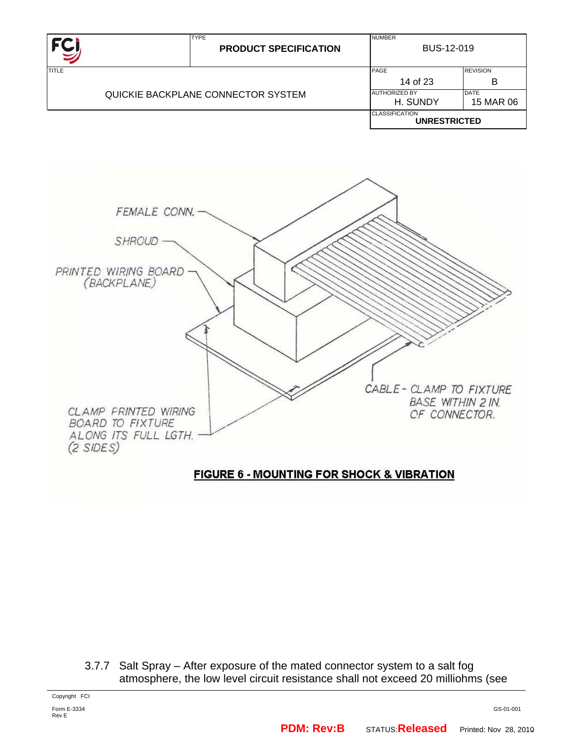|       |  | <b>TYPE</b><br><b>PRODUCT SPECIFICATION</b> | <b>NUMBER</b><br>BUS-12-019                  |                   |  |  |
|-------|--|---------------------------------------------|----------------------------------------------|-------------------|--|--|
| TITLE |  |                                             | PAGE                                         | <b>REVISION</b>   |  |  |
|       |  |                                             | 14 of 23                                     | B                 |  |  |
|       |  | QUICKIE BACKPLANE CONNECTOR SYSTEM          | <b>AUTHORIZED BY</b><br>H. SUNDY             | DATE<br>15 MAR 06 |  |  |
|       |  |                                             |                                              |                   |  |  |
|       |  |                                             | <b>CLASSIFICATION</b><br><b>UNRESTRICTED</b> |                   |  |  |



## **FIGURE 6 - MOUNTING FOR SHOCK & VIBRATION**

3.7.7 Salt Spray – After exposure of the mated connector system to a salt fog atmosphere, the low level circuit resistance shall not exceed 20 milliohms (see

Copyright FCI

Form E-3334 Rev E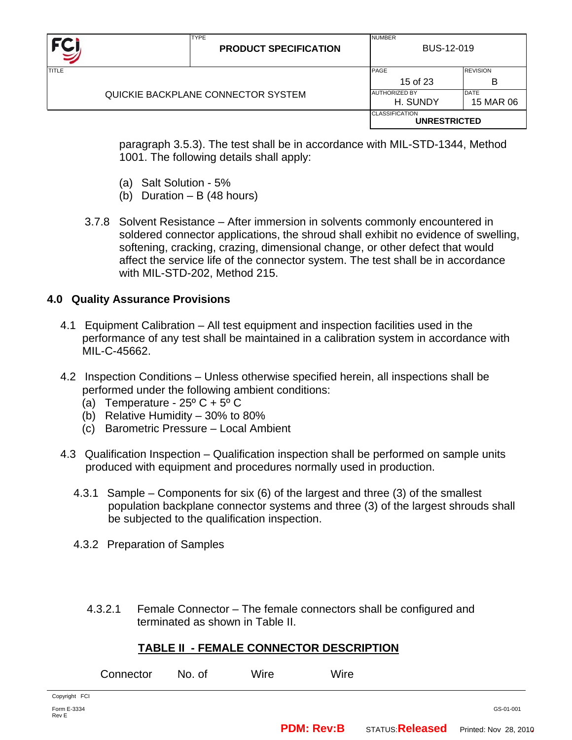| FC <sub>I</sub>                    |  | <b>TYPE</b><br><b>PRODUCT SPECIFICATION</b> | <b>NUMBER</b><br>BUS-12-019                  |                      |  |  |
|------------------------------------|--|---------------------------------------------|----------------------------------------------|----------------------|--|--|
| <b>TITLE</b>                       |  |                                             | PAGE<br>15 of 23                             | <b>REVISION</b><br>B |  |  |
| QUICKIE BACKPLANE CONNECTOR SYSTEM |  | <b>AUTHORIZED BY</b><br>H. SUNDY            | <b>DATE</b><br>15 MAR 06                     |                      |  |  |
|                                    |  |                                             | <b>CLASSIFICATION</b><br><b>UNRESTRICTED</b> |                      |  |  |

 paragraph 3.5.3). The test shall be in accordance with MIL-STD-1344, Method 1001. The following details shall apply:

- (a) Salt Solution 5%
- (b) Duration B (48 hours)
- 3.7.8 Solvent Resistance After immersion in solvents commonly encountered in soldered connector applications, the shroud shall exhibit no evidence of swelling, softening, cracking, crazing, dimensional change, or other defect that would affect the service life of the connector system. The test shall be in accordance with MIL-STD-202, Method 215.

### **4.0 Quality Assurance Provisions**

- 4.1 Equipment Calibration All test equipment and inspection facilities used in the performance of any test shall be maintained in a calibration system in accordance with MIL-C-45662.
- 4.2 Inspection Conditions Unless otherwise specified herein, all inspections shall be performed under the following ambient conditions:
	- (a) Temperature  $25^{\circ}$  C +  $5^{\circ}$  C
	- (b) Relative Humidity 30% to 80%
	- (c) Barometric Pressure Local Ambient
- 4.3 Qualification Inspection Qualification inspection shall be performed on sample units produced with equipment and procedures normally used in production.
	- 4.3.1 Sample Components for six (6) of the largest and three (3) of the smallest population backplane connector systems and three (3) of the largest shrouds shall be subjected to the qualification inspection.
	- 4.3.2 Preparation of Samples

4.3.2.1 Female Connector – The female connectors shall be configured and terminated as shown in Table II.

#### **TABLE II - FEMALE CONNECTOR DESCRIPTION**

|                      | Connector | No. of | Wire | Wire |           |
|----------------------|-----------|--------|------|------|-----------|
| Copyright FCI        |           |        |      |      |           |
| Form E-3334<br>Rev E |           |        |      |      | GS-01-001 |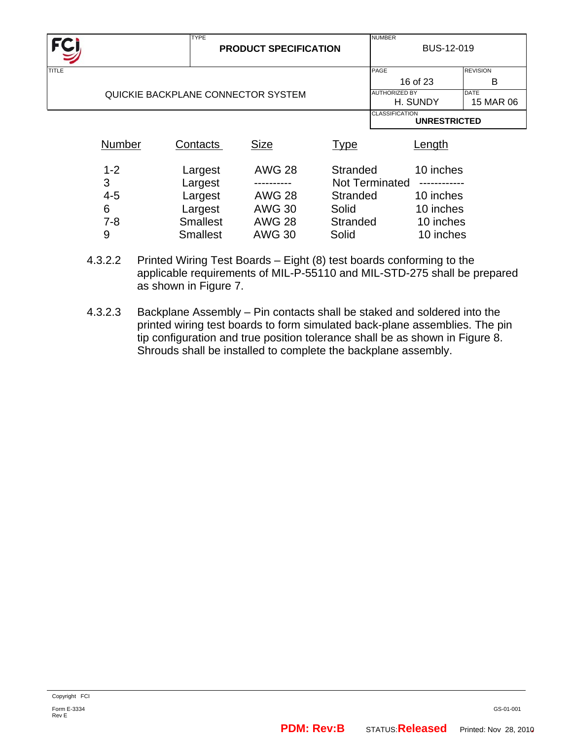|              |         | <b>TYPE</b>                        |                              |             | <b>NUMBER</b>                                |                 |  |  |
|--------------|---------|------------------------------------|------------------------------|-------------|----------------------------------------------|-----------------|--|--|
| <b>FCJ</b>   |         |                                    | <b>PRODUCT SPECIFICATION</b> |             | BUS-12-019                                   |                 |  |  |
|              |         |                                    |                              |             |                                              |                 |  |  |
| <b>TITLE</b> |         |                                    |                              |             | PAGE                                         | <b>REVISION</b> |  |  |
|              |         |                                    |                              |             | 16 of 23                                     | в               |  |  |
|              |         | QUICKIE BACKPLANE CONNECTOR SYSTEM |                              |             | <b>AUTHORIZED BY</b>                         | <b>DATE</b>     |  |  |
|              |         |                                    |                              |             | H. SUNDY                                     | 15 MAR 06       |  |  |
|              |         |                                    |                              |             | <b>CLASSIFICATION</b><br><b>UNRESTRICTED</b> |                 |  |  |
|              |         |                                    |                              |             |                                              |                 |  |  |
|              | Number  | Contacts                           | <b>Size</b>                  | <b>Type</b> | Length                                       |                 |  |  |
|              |         |                                    |                              |             |                                              |                 |  |  |
|              | $1 - 2$ | Largest                            | <b>AWG 28</b>                | Stranded    | 10 inches                                    |                 |  |  |
|              |         |                                    |                              |             |                                              |                 |  |  |
|              | 3       | Largest                            |                              |             | <b>Not Terminated</b>                        |                 |  |  |
|              | $4 - 5$ | Largest                            | <b>AWG 28</b>                | Stranded    | 10 inches                                    |                 |  |  |
|              | 6       | Largest                            | <b>AWG 30</b>                | Solid       | 10 inches                                    |                 |  |  |
|              | $7 - 8$ | <b>Smallest</b>                    | <b>AWG 28</b>                | Stranded    | 10 inches                                    |                 |  |  |
|              | 9       | <b>Smallest</b>                    | <b>AWG 30</b>                | Solid       | 10 inches                                    |                 |  |  |

- 4.3.2.2 Printed Wiring Test Boards Eight (8) test boards conforming to the applicable requirements of MIL-P-55110 and MIL-STD-275 shall be prepared as shown in Figure 7.
- 4.3.2.3 Backplane Assembly Pin contacts shall be staked and soldered into the printed wiring test boards to form simulated back-plane assemblies. The pin tip configuration and true position tolerance shall be as shown in Figure 8. Shrouds shall be installed to complete the backplane assembly.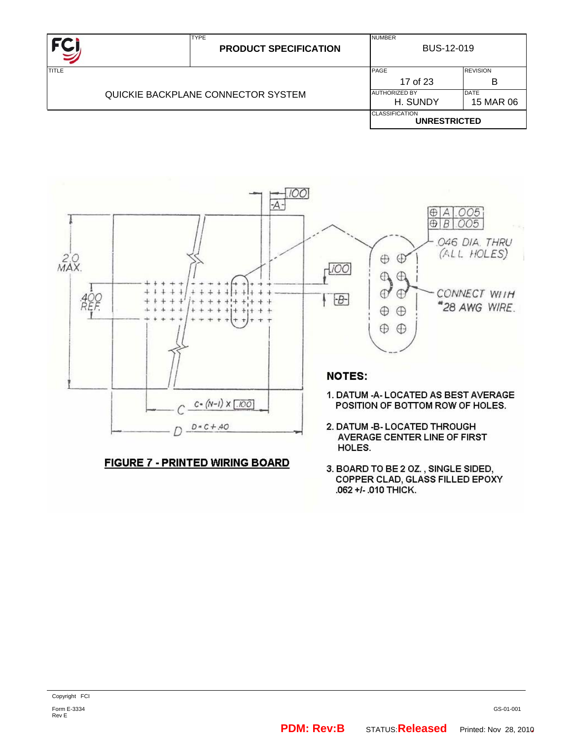|                                    | <b>TYPE</b><br><b>PRODUCT SPECIFICATION</b> | <b>NUMBER</b><br>BUS-12-019                  |  |  |  |
|------------------------------------|---------------------------------------------|----------------------------------------------|--|--|--|
| <b>TITLE</b>                       | PAGE<br>17 of 23                            | <b>REVISION</b><br>В                         |  |  |  |
| QUICKIE BACKPLANE CONNECTOR SYSTEM | <b>AUTHORIZED BY</b><br>H. SUNDY            | DATE<br>15 MAR 06                            |  |  |  |
|                                    |                                             | <b>CLASSIFICATION</b><br><b>UNRESTRICTED</b> |  |  |  |



#### **FIGURE 7 - PRINTED WIRING BOARD**

3. BOARD TO BE 2 OZ., SINGLE SIDED, COPPER CLAD, GLASS FILLED EPOXY .062 +/- .010 THICK.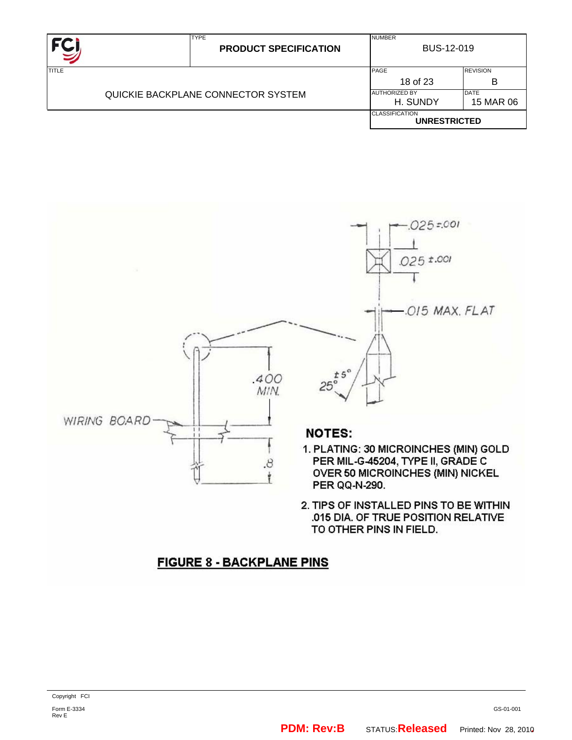|                                    | <b>TYPE</b><br><b>PRODUCT SPECIFICATION</b> | <b>NUMBER</b><br><b>BUS-12-019</b>           |  |  |  |
|------------------------------------|---------------------------------------------|----------------------------------------------|--|--|--|
| <b>TITLE</b>                       | PAGE<br>18 of 23                            | <b>REVISION</b><br>в                         |  |  |  |
| QUICKIE BACKPLANE CONNECTOR SYSTEM | <b>AUTHORIZED BY</b><br>H. SUNDY            | <b>DATE</b><br>15 MAR 06                     |  |  |  |
|                                    |                                             | <b>CLASSIFICATION</b><br><b>UNRESTRICTED</b> |  |  |  |



2. TIPS OF INSTALLED PINS TO BE WITHIN .015 DIA. OF TRUE POSITION RELATIVE TO OTHER PINS IN FIELD.

## **FIGURE 8 - BACKPLANE PINS**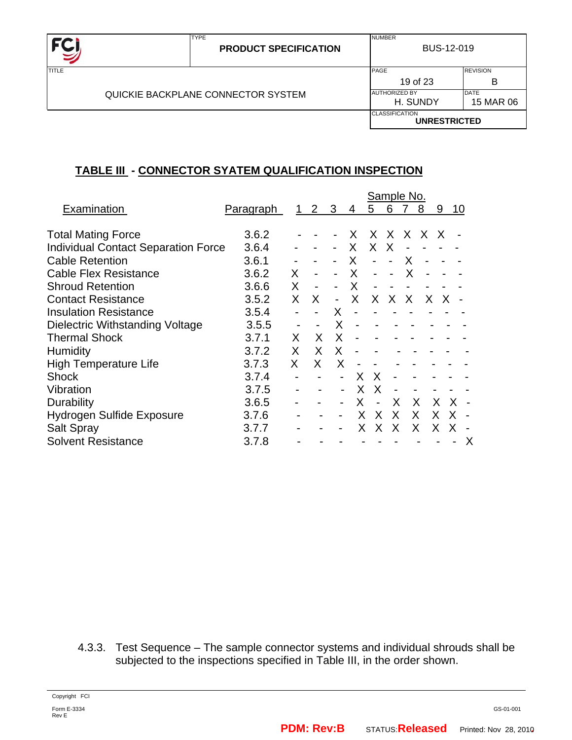

NUMBER

## **TABLE III - CONNECTOR SYATEM QUALIFICATION INSPECTION**

TYPE

|                                            |                  |    |                |                          |    |                          |   | Sample No. |    |    |    |   |
|--------------------------------------------|------------------|----|----------------|--------------------------|----|--------------------------|---|------------|----|----|----|---|
| Examination                                | <u>Paragraph</u> |    | $\overline{2}$ | 3                        | 4  | 5                        | 6 |            | 8  | 9  | 10 |   |
| <b>Total Mating Force</b>                  | 3.6.2            |    |                |                          | X. | X.                       | X | X.         | X  | X  |    |   |
| <b>Individual Contact Separation Force</b> | 3.6.4            |    |                |                          | X. | X.                       | X |            |    |    |    |   |
| <b>Cable Retention</b>                     | 3.6.1            |    |                |                          | X. | $\blacksquare$           |   | X          |    |    |    |   |
| <b>Cable Flex Resistance</b>               | 3.6.2            | X. |                |                          | X  | $\overline{\phantom{a}}$ |   | X          |    |    |    |   |
| <b>Shroud Retention</b>                    | 3.6.6            | X. |                |                          | X  |                          |   |            |    |    |    |   |
| <b>Contact Resistance</b>                  | 3.5.2            | X  | X.             | $\overline{\phantom{a}}$ | X  | X.                       | X | X          | X. | X  |    |   |
| <b>Insulation Resistance</b>               | 3.5.4            |    |                | X                        |    |                          |   |            |    |    |    |   |
| Dielectric Withstanding Voltage            | 3.5.5            |    |                | X                        |    |                          |   |            |    |    |    |   |
| <b>Thermal Shock</b>                       | 3.7.1            | X  | X              | X                        |    |                          |   |            |    |    |    |   |
| <b>Humidity</b>                            | 3.7.2            | X  | X              | X                        | -  |                          |   |            |    |    |    |   |
| High Temperature Life                      | 3.7.3            | X. | X.             | X                        |    |                          |   |            |    |    |    |   |
| <b>Shock</b>                               | 3.7.4            |    |                |                          | X  | X                        |   |            |    |    |    |   |
| Vibration                                  | 3.7.5            |    |                | $\blacksquare$           | X  | X                        |   |            |    |    |    |   |
| Durability                                 | 3.6.5            |    |                |                          | x  |                          | X | X          |    | X. |    |   |
| Hydrogen Sulfide Exposure                  | 3.7.6            |    |                |                          | X  | X                        | X | X.         |    | X  | X  |   |
| <b>Salt Spray</b>                          | 3.7.7            |    |                |                          |    | X.                       | X | X.         |    | X  |    |   |
| <b>Solvent Resistance</b>                  | 3.7.8            |    |                |                          |    |                          |   |            |    |    |    | X |

4.3.3. Test Sequence – The sample connector systems and individual shrouds shall be subjected to the inspections specified in Table III, in the order shown.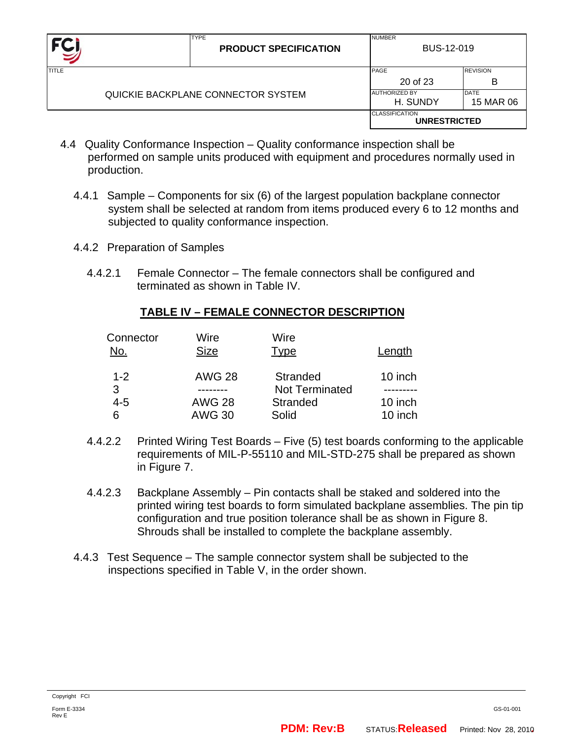| FC.                                |  | <b>TYPE</b><br><b>PRODUCT SPECIFICATION</b> | <b>NUMBER</b><br>BUS-12-019                  |                          |  |  |
|------------------------------------|--|---------------------------------------------|----------------------------------------------|--------------------------|--|--|
| TITLE                              |  |                                             | PAGE<br>20 of 23                             | <b>REVISION</b><br>в     |  |  |
| QUICKIE BACKPLANE CONNECTOR SYSTEM |  |                                             | <b>AUTHORIZED BY</b><br>H. SUNDY             | <b>DATE</b><br>15 MAR 06 |  |  |
|                                    |  |                                             | <b>CLASSIFICATION</b><br><b>UNRESTRICTED</b> |                          |  |  |

- 4.4 Quality Conformance Inspection Quality conformance inspection shall be performed on sample units produced with equipment and procedures normally used in production.
	- 4.4.1 Sample Components for six (6) of the largest population backplane connector system shall be selected at random from items produced every 6 to 12 months and subjected to quality conformance inspection.
	- 4.4.2 Preparation of Samples
		- 4.4.2.1 Female Connector The female connectors shall be configured and terminated as shown in Table IV.

### **TABLE IV – FEMALE CONNECTOR DESCRIPTION**

| Connector<br>No. | Wire<br><b>Size</b> | Wire<br>Type          | Length  |
|------------------|---------------------|-----------------------|---------|
| $1 - 2$          | <b>AWG 28</b>       | <b>Stranded</b>       | 10 inch |
| 3                |                     | <b>Not Terminated</b> |         |
| 4-5              | <b>AWG 28</b>       | <b>Stranded</b>       | 10 inch |
| 6                | <b>AWG 30</b>       | Solid                 | 10 inch |

- 4.4.2.2 Printed Wiring Test Boards Five (5) test boards conforming to the applicable requirements of MIL-P-55110 and MIL-STD-275 shall be prepared as shown in Figure 7.
- 4.4.2.3 Backplane Assembly Pin contacts shall be staked and soldered into the printed wiring test boards to form simulated backplane assemblies. The pin tip configuration and true position tolerance shall be as shown in Figure 8. Shrouds shall be installed to complete the backplane assembly.
- 4.4.3 Test Sequence The sample connector system shall be subjected to the inspections specified in Table V, in the order shown.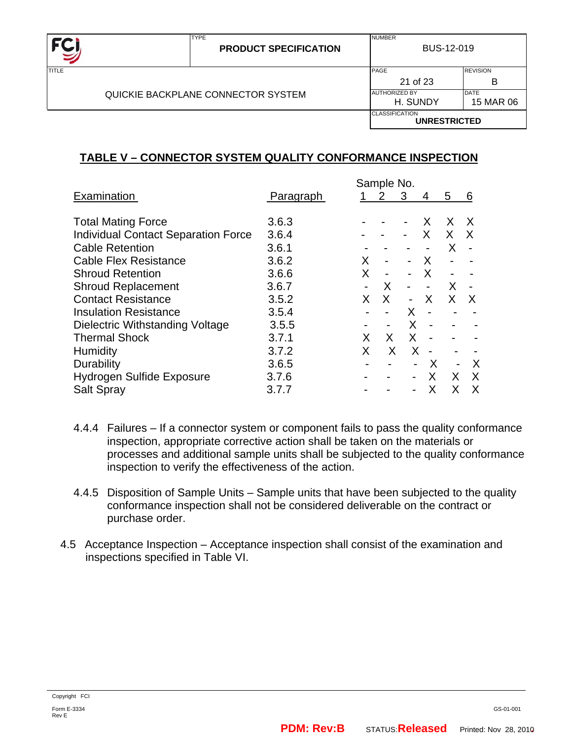| FC           | <b>TYPE</b><br><b>PRODUCT SPECIFICATION</b> | <b>NUMBER</b>                    | <b>BUS-12-019</b>        |  |  |
|--------------|---------------------------------------------|----------------------------------|--------------------------|--|--|
| <b>TITLE</b> |                                             | PAGE<br>21 of 23                 | <b>REVISION</b><br>B     |  |  |
|              | QUICKIE BACKPLANE CONNECTOR SYSTEM          | <b>AUTHORIZED BY</b><br>H. SUNDY | <b>DATE</b><br>15 MAR 06 |  |  |
|              |                                             | <b>CLASSIFICATION</b>            | <b>UNRESTRICTED</b>      |  |  |

### **TABLE V – CONNECTOR SYSTEM QUALITY CONFORMANCE INSPECTION**

|                                            |                  | Sample No.     |                          |                          |                          |                          |              |
|--------------------------------------------|------------------|----------------|--------------------------|--------------------------|--------------------------|--------------------------|--------------|
| Examination                                | <b>Paragraph</b> |                | 2                        | 3                        | 4                        | 5                        | 6            |
| <b>Total Mating Force</b>                  | 3.6.3            |                |                          |                          | X                        | X                        | $\mathsf{X}$ |
| <b>Individual Contact Separation Force</b> | 3.6.4            |                |                          |                          | X                        | $X \times$               |              |
| <b>Cable Retention</b>                     | 3.6.1            |                |                          |                          |                          | X.                       |              |
| <b>Cable Flex Resistance</b>               | 3.6.2            | X.             | $\overline{\phantom{a}}$ | $\sim$ 10 $\pm$          | $\mathsf{X}$             | $\overline{\phantom{a}}$ |              |
| <b>Shroud Retention</b>                    | 3.6.6            | X              |                          |                          | $\sf X$                  |                          |              |
| <b>Shroud Replacement</b>                  | 3.6.7            |                | $\sf X$                  | $\overline{\phantom{a}}$ |                          | X.                       |              |
| <b>Contact Resistance</b>                  | 3.5.2            | X.             | X                        | $\sim$                   | $\mathsf{X}$             |                          | XX           |
| <b>Insulation Resistance</b>               | 3.5.4            |                |                          | X                        |                          |                          |              |
| Dielectric Withstanding Voltage            | 3.5.5            | $\blacksquare$ | $\blacksquare$           | X                        | $\overline{\phantom{a}}$ | $\overline{\phantom{a}}$ |              |
| <b>Thermal Shock</b>                       | 3.7.1            | X              | X.                       | X                        |                          |                          |              |
| Humidity                                   | 3.7.2            | X              | X                        | X                        |                          |                          |              |
| Durability                                 | 3.6.5            |                |                          |                          | $\mathsf{X}$             | $\overline{\phantom{a}}$ | X            |
| <b>Hydrogen Sulfide Exposure</b>           | 3.7.6            |                |                          |                          | X.                       | X.                       | X            |
| Salt Spray                                 | 3.7.7            |                |                          |                          | x                        | X                        | X            |

- 4.4.4 Failures If a connector system or component fails to pass the quality conformance inspection, appropriate corrective action shall be taken on the materials or processes and additional sample units shall be subjected to the quality conformance inspection to verify the effectiveness of the action.
- 4.4.5 Disposition of Sample Units Sample units that have been subjected to the quality conformance inspection shall not be considered deliverable on the contract or purchase order.
- 4.5 Acceptance Inspection Acceptance inspection shall consist of the examination and inspections specified in Table VI.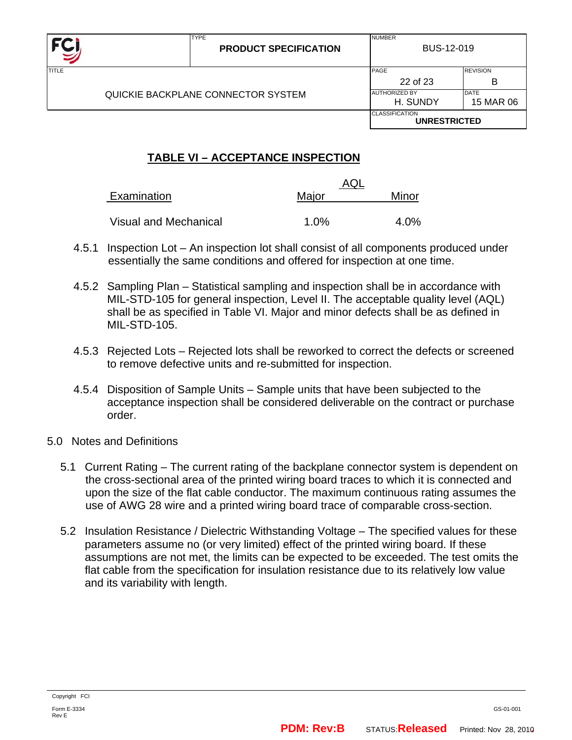|              | <b>TYPE</b><br><b>PRODUCT SPECIFICATION</b> | <b>NUMBER</b><br>BUS-12-019                                  |                      |  |
|--------------|---------------------------------------------|--------------------------------------------------------------|----------------------|--|
| <b>TITLE</b> |                                             | PAGE<br>22 of 23                                             | <b>REVISION</b><br>B |  |
|              | QUICKIE BACKPLANE CONNECTOR SYSTEM          | <b>DATE</b><br><b>AUTHORIZED BY</b><br>H. SUNDY<br>15 MAR 06 |                      |  |
|              |                                             | <b>CLASSIFICATION</b><br><b>UNRESTRICTED</b>                 |                      |  |

## **TABLE VI – ACCEPTANCE INSPECTION**

|                       | AQL     |       |  |
|-----------------------|---------|-------|--|
| Examination           | Major   | Minor |  |
|                       |         |       |  |
| Visual and Mechanical | $1.0\%$ | 4.0%  |  |

- 4.5.1 Inspection Lot An inspection lot shall consist of all components produced under essentially the same conditions and offered for inspection at one time.
- 4.5.2 Sampling Plan Statistical sampling and inspection shall be in accordance with MIL-STD-105 for general inspection, Level II. The acceptable quality level (AQL) shall be as specified in Table VI. Major and minor defects shall be as defined in MIL-STD-105.
- 4.5.3 Rejected Lots Rejected lots shall be reworked to correct the defects or screened to remove defective units and re-submitted for inspection.
- 4.5.4 Disposition of Sample Units Sample units that have been subjected to the acceptance inspection shall be considered deliverable on the contract or purchase order.
- 5.0 Notes and Definitions
	- 5.1 Current Rating The current rating of the backplane connector system is dependent on the cross-sectional area of the printed wiring board traces to which it is connected and upon the size of the flat cable conductor. The maximum continuous rating assumes the use of AWG 28 wire and a printed wiring board trace of comparable cross-section.
	- 5.2 Insulation Resistance / Dielectric Withstanding Voltage The specified values for these parameters assume no (or very limited) effect of the printed wiring board. If these assumptions are not met, the limits can be expected to be exceeded. The test omits the flat cable from the specification for insulation resistance due to its relatively low value and its variability with length.